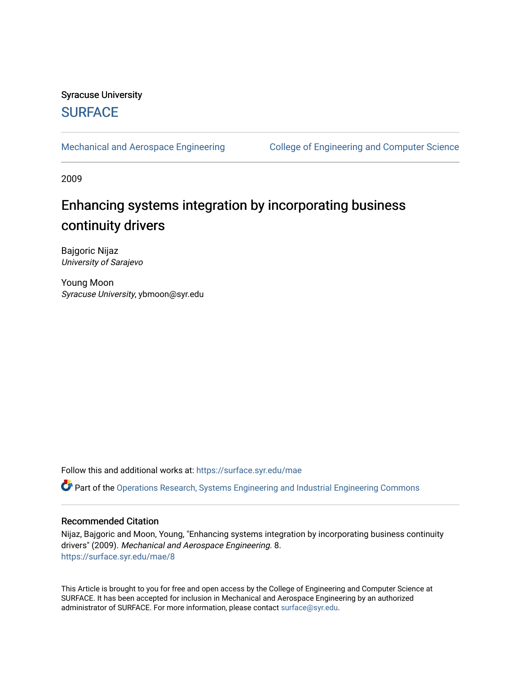## Syracuse University **[SURFACE](https://surface.syr.edu/)**

[Mechanical and Aerospace Engineering](https://surface.syr.edu/mae) College of Engineering and Computer Science

2009

# Enhancing systems integration by incorporating business continuity drivers

Bajgoric Nijaz University of Sarajevo

Young Moon Syracuse University, ybmoon@syr.edu

Follow this and additional works at: [https://surface.syr.edu/mae](https://surface.syr.edu/mae?utm_source=surface.syr.edu%2Fmae%2F8&utm_medium=PDF&utm_campaign=PDFCoverPages) 

Part of the [Operations Research, Systems Engineering and Industrial Engineering Commons](http://network.bepress.com/hgg/discipline/305?utm_source=surface.syr.edu%2Fmae%2F8&utm_medium=PDF&utm_campaign=PDFCoverPages)

### Recommended Citation

Nijaz, Bajgoric and Moon, Young, "Enhancing systems integration by incorporating business continuity drivers" (2009). Mechanical and Aerospace Engineering. 8. [https://surface.syr.edu/mae/8](https://surface.syr.edu/mae/8?utm_source=surface.syr.edu%2Fmae%2F8&utm_medium=PDF&utm_campaign=PDFCoverPages) 

This Article is brought to you for free and open access by the College of Engineering and Computer Science at SURFACE. It has been accepted for inclusion in Mechanical and Aerospace Engineering by an authorized administrator of SURFACE. For more information, please contact [surface@syr.edu](mailto:surface@syr.edu).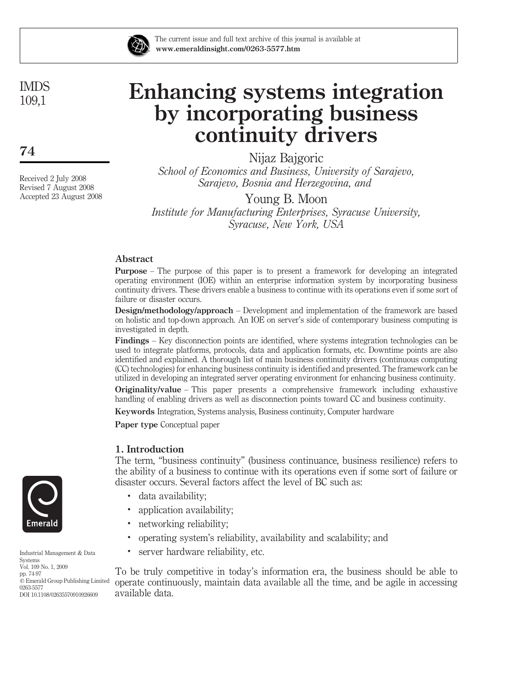

The current issue and full text archive of this journal is available at www.emeraldinsight.com/0263-5577.htm

IMDS 109,1

74

Received 2 July 2008 Revised 7 August 2008 Accepted 23 August 2008

# Enhancing systems integration by incorporating business continuity drivers

Nijaz Bajgoric School of Economics and Business, University of Sarajevo, Sarajevo, Bosnia and Herzegovina, and

Young B. Moon

Institute for Manufacturing Enterprises, Syracuse University, Syracuse, New York, USA

#### Abstract

Purpose – The purpose of this paper is to present a framework for developing an integrated operating environment (IOE) within an enterprise information system by incorporating business continuity drivers. These drivers enable a business to continue with its operations even if some sort of failure or disaster occurs.

Design/methodology/approach – Development and implementation of the framework are based on holistic and top-down approach. An IOE on server's side of contemporary business computing is investigated in depth.

Findings – Key disconnection points are identified, where systems integration technologies can be used to integrate platforms, protocols, data and application formats, etc. Downtime points are also identified and explained. A thorough list of main business continuity drivers (continuous computing (CC) technologies) for enhancing business continuity is identified and presented. The framework can be utilized in developing an integrated server operating environment for enhancing business continuity.

Originality/value – This paper presents a comprehensive framework including exhaustive handling of enabling drivers as well as disconnection points toward CC and business continuity.

Keywords Integration, Systems analysis, Business continuity, Computer hardware

Paper type Conceptual paper

### 1. Introduction

The term, "business continuity" (business continuance, business resilience) refers to the ability of a business to continue with its operations even if some sort of failure or disaster occurs. Several factors affect the level of BC such as:

- . data availability;
- . application availability;
- . networking reliability;
- . operating system's reliability, availability and scalability; and
- . server hardware reliability, etc.

To be truly competitive in today's information era, the business should be able to operate continuously, maintain data available all the time, and be agile in accessing available data.



Industrial Management & Data **Systems** Vol. 109 No. 1, 2009 pp. 74-97  $©$  Emerald Group Publishing Limited 0263-5577 DOI 10.1108/02635570910926609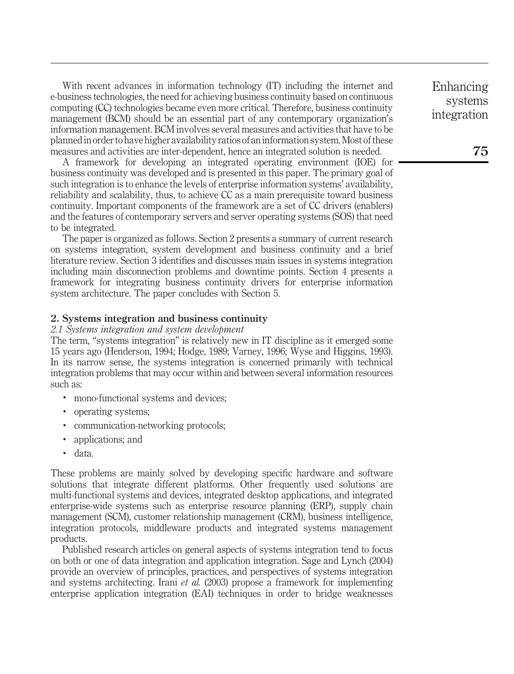With recent advances in information technology (IT) including the internet and e-business technologies, the need for achieving business continuity based on continuous computing (CC) technologies became even more critical. Therefore, business continuity management (BCM) should be an essential part of any contemporary organization's information management. BCM involves several measures and activities that have to be planned in order to have higher availability ratios of an information system. Most of these measures and activities are inter-dependent, hence an integrated solution is needed.

A framework for developing an integrated operating environment (IOE) for business continuity was developed and is presented in this paper. The primary goal of such integration is to enhance the levels of enterprise information systems' availability, reliability and scalability, thus, to achieve CC as a main prerequisite toward business continuity. Important components of the framework are a set of CC drivers (enablers) and the features of contemporary servers and server operating systems (SOS) that need to be integrated.

The paper is organized as follows. Section 2 presents a summary of current research on systems integration, system development and business continuity and a brief literature review. Section 3 identifies and discusses main issues in systems integration including main disconnection problems and downtime points. Section 4 presents a framework for integrating business continuity drivers for enterprise information system architecture. The paper concludes with Section 5.

#### 2. Systems integration and business continuity

#### 2.1 Systems integration and system development

The term, "systems integration" is relatively new in IT discipline as it emerged some 15 years ago (Henderson, 1994; Hodge, 1989; Varney, 1996; Wyse and Higgins, 1993). In its narrow sense, the systems integration is concerned primarily with technical integration problems that may occur within and between several information resources such as:

- . mono-functional systems and devices;
- . operating systems;
- . communication-networking protocols;
- . applications; and
- . data.

These problems are mainly solved by developing specific hardware and software solutions that integrate different platforms. Other frequently used solutions are multi-functional systems and devices, integrated desktop applications, and integrated enterprise-wide systems such as enterprise resource planning (ERP), supply chain management (SCM), customer relationship management (CRM), business intelligence, integration protocols, middleware products and integrated systems management products.

Published research articles on general aspects of systems integration tend to focus on both or one of data integration and application integration. Sage and Lynch (2004) provide an overview of principles, practices, and perspectives of systems integration and systems architecting. Irani et al. (2003) propose a framework for implementing enterprise application integration (EAI) techniques in order to bridge weaknesses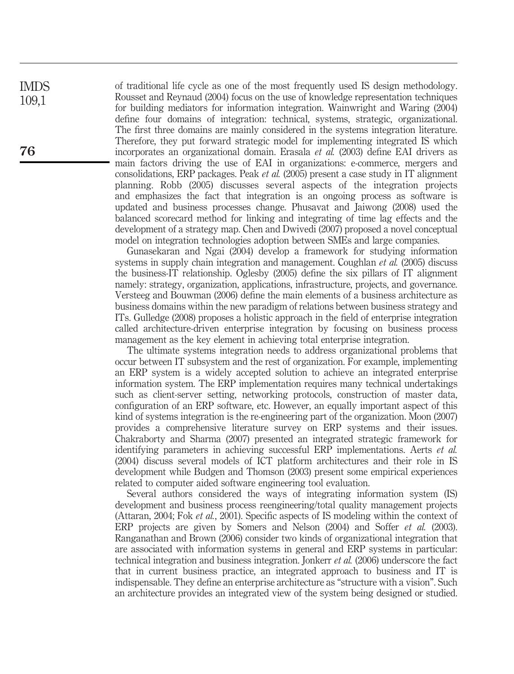of traditional life cycle as one of the most frequently used IS design methodology. Rousset and Reynaud (2004) focus on the use of knowledge representation techniques for building mediators for information integration. Wainwright and Waring (2004) define four domains of integration: technical, systems, strategic, organizational. The first three domains are mainly considered in the systems integration literature. Therefore, they put forward strategic model for implementing integrated IS which incorporates an organizational domain. Erasala et al. (2003) define EAI drivers as main factors driving the use of EAI in organizations: e-commerce, mergers and consolidations, ERP packages. Peak et al. (2005) present a case study in IT alignment planning. Robb (2005) discusses several aspects of the integration projects and emphasizes the fact that integration is an ongoing process as software is updated and business processes change. Phusavat and Jaiwong (2008) used the balanced scorecard method for linking and integrating of time lag effects and the development of a strategy map. Chen and Dwivedi (2007) proposed a novel conceptual model on integration technologies adoption between SMEs and large companies.

Gunasekaran and Ngai (2004) develop a framework for studying information systems in supply chain integration and management. Coughlan *et al.* (2005) discuss the business-IT relationship. Oglesby (2005) define the six pillars of IT alignment namely: strategy, organization, applications, infrastructure, projects, and governance. Versteeg and Bouwman (2006) define the main elements of a business architecture as business domains within the new paradigm of relations between business strategy and ITs. Gulledge (2008) proposes a holistic approach in the field of enterprise integration called architecture-driven enterprise integration by focusing on business process management as the key element in achieving total enterprise integration.

The ultimate systems integration needs to address organizational problems that occur between IT subsystem and the rest of organization. For example, implementing an ERP system is a widely accepted solution to achieve an integrated enterprise information system. The ERP implementation requires many technical undertakings such as client-server setting, networking protocols, construction of master data, configuration of an ERP software, etc. However, an equally important aspect of this kind of systems integration is the re-engineering part of the organization. Moon (2007) provides a comprehensive literature survey on ERP systems and their issues. Chakraborty and Sharma (2007) presented an integrated strategic framework for identifying parameters in achieving successful ERP implementations. Aerts et al. (2004) discuss several models of ICT platform architectures and their role in IS development while Budgen and Thomson (2003) present some empirical experiences related to computer aided software engineering tool evaluation.

Several authors considered the ways of integrating information system (IS) development and business process reengineering/total quality management projects (Attaran, 2004; Fok et al., 2001). Specific aspects of IS modeling within the context of ERP projects are given by Somers and Nelson (2004) and Soffer et al. (2003). Ranganathan and Brown (2006) consider two kinds of organizational integration that are associated with information systems in general and ERP systems in particular: technical integration and business integration. Jonkerr et al. (2006) underscore the fact that in current business practice, an integrated approach to business and IT is indispensable. They define an enterprise architecture as "structure with a vision". Such an architecture provides an integrated view of the system being designed or studied.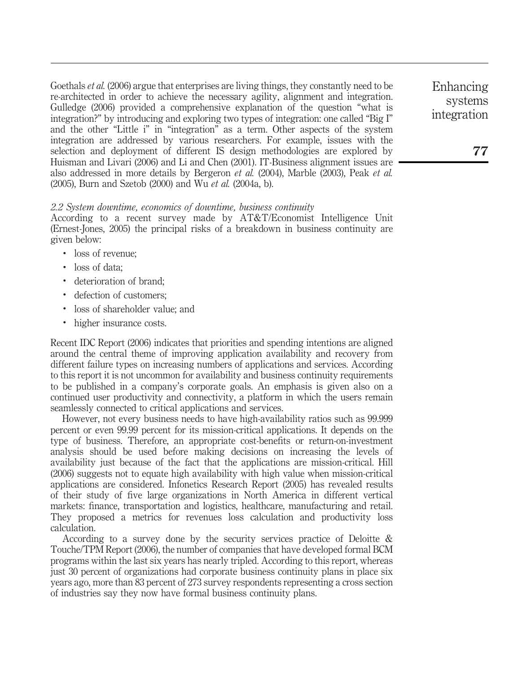Goethals *et al.* (2006) argue that enterprises are living things, they constantly need to be re-architected in order to achieve the necessary agility, alignment and integration. Gulledge (2006) provided a comprehensive explanation of the question "what is integration?" by introducing and exploring two types of integration: one called "Big I" and the other "Little i" in "integration" as a term. Other aspects of the system integration are addressed by various researchers. For example, issues with the selection and deployment of different IS design methodologies are explored by Huisman and Livari (2006) and Li and Chen (2001). IT-Business alignment issues are also addressed in more details by Bergeron et al. (2004), Marble (2003), Peak et al. (2005), Burn and Szetob (2000) and Wu et al. (2004a, b).

#### 2.2 System downtime, economics of downtime, business continuity

According to a recent survey made by AT&T/Economist Intelligence Unit (Ernest-Jones, 2005) the principal risks of a breakdown in business continuity are given below:

- . loss of revenue;
- . loss of data;
- . deterioration of brand;
- . defection of customers;
- . loss of shareholder value; and
- . higher insurance costs.

Recent IDC Report (2006) indicates that priorities and spending intentions are aligned around the central theme of improving application availability and recovery from different failure types on increasing numbers of applications and services. According to this report it is not uncommon for availability and business continuity requirements to be published in a company's corporate goals. An emphasis is given also on a continued user productivity and connectivity, a platform in which the users remain seamlessly connected to critical applications and services.

However, not every business needs to have high-availability ratios such as 99.999 percent or even 99.99 percent for its mission-critical applications. It depends on the type of business. Therefore, an appropriate cost-benefits or return-on-investment analysis should be used before making decisions on increasing the levels of availability just because of the fact that the applications are mission-critical. Hill (2006) suggests not to equate high availability with high value when mission-critical applications are considered. Infonetics Research Report (2005) has revealed results of their study of five large organizations in North America in different vertical markets: finance, transportation and logistics, healthcare, manufacturing and retail. They proposed a metrics for revenues loss calculation and productivity loss calculation.

According to a survey done by the security services practice of Deloitte & Touche/TPM Report (2006), the number of companies that have developed formal BCM programs within the last six years has nearly tripled. According to this report, whereas just 30 percent of organizations had corporate business continuity plans in place six years ago, more than 83 percent of 273 survey respondents representing a cross section of industries say they now have formal business continuity plans.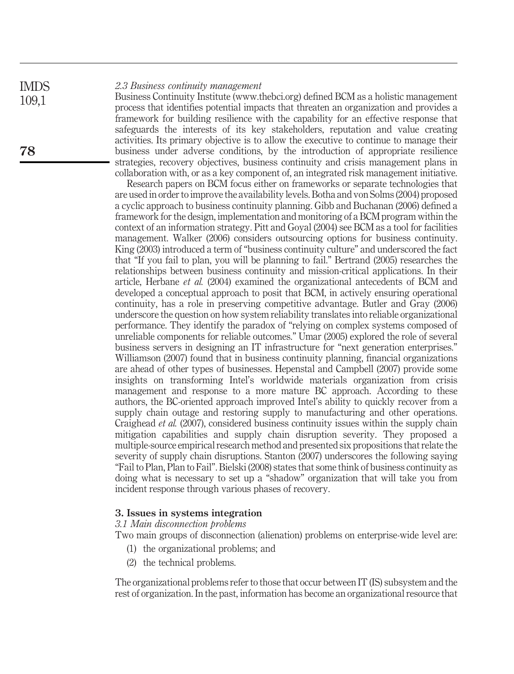#### 2.3 Business continuity management

Business Continuity Institute (www.thebci.org) defined BCM as a holistic management process that identifies potential impacts that threaten an organization and provides a framework for building resilience with the capability for an effective response that safeguards the interests of its key stakeholders, reputation and value creating activities. Its primary objective is to allow the executive to continue to manage their business under adverse conditions, by the introduction of appropriate resilience strategies, recovery objectives, business continuity and crisis management plans in collaboration with, or as a key component of, an integrated risk management initiative.

Research papers on BCM focus either on frameworks or separate technologies that are used in order to improve the availability levels. Botha and von Solms (2004) proposed a cyclic approach to business continuity planning. Gibb and Buchanan (2006) defined a framework for the design, implementation and monitoring of a BCM program within the context of an information strategy. Pitt and Goyal (2004) see BCM as a tool for facilities management. Walker (2006) considers outsourcing options for business continuity. King (2003) introduced a term of "business continuity culture" and underscored the fact that "If you fail to plan, you will be planning to fail." Bertrand (2005) researches the relationships between business continuity and mission-critical applications. In their article, Herbane et al. (2004) examined the organizational antecedents of BCM and developed a conceptual approach to posit that BCM, in actively ensuring operational continuity, has a role in preserving competitive advantage. Butler and Gray (2006) underscore the question on how system reliability translates into reliable organizational performance. They identify the paradox of "relying on complex systems composed of unreliable components for reliable outcomes." Umar (2005) explored the role of several business servers in designing an IT infrastructure for "next generation enterprises." Williamson (2007) found that in business continuity planning, financial organizations are ahead of other types of businesses. Hepenstal and Campbell (2007) provide some insights on transforming Intel's worldwide materials organization from crisis management and response to a more mature BC approach. According to these authors, the BC-oriented approach improved Intel's ability to quickly recover from a supply chain outage and restoring supply to manufacturing and other operations. Craighead et al. (2007), considered business continuity issues within the supply chain mitigation capabilities and supply chain disruption severity. They proposed a multiple-source empirical research method and presented six propositions that relate the severity of supply chain disruptions. Stanton (2007) underscores the following saying "Fail to Plan, Plan to Fail". Bielski (2008) states that some think of business continuity as doing what is necessary to set up a "shadow" organization that will take you from incident response through various phases of recovery.

#### 3. Issues in systems integration

#### 3.1 Main disconnection problems

Two main groups of disconnection (alienation) problems on enterprise-wide level are:

- (1) the organizational problems; and
- (2) the technical problems.

The organizational problems refer to those that occur between IT (IS) subsystem and the rest of organization. In the past, information has become an organizational resource that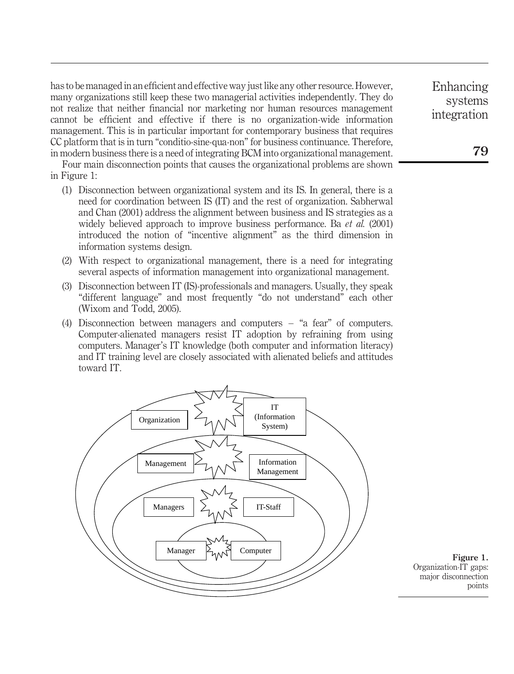has to be managed in an efficient and effective way just like any other resource. However, many organizations still keep these two managerial activities independently. They do not realize that neither financial nor marketing nor human resources management cannot be efficient and effective if there is no organization-wide information management. This is in particular important for contemporary business that requires CC platform that is in turn "conditio-sine-qua-non" for business continuance. Therefore, in modern business there is a need of integrating BCM into organizational management.

Four main disconnection points that causes the organizational problems are shown in Figure 1:

- (1) Disconnection between organizational system and its IS. In general, there is a need for coordination between IS (IT) and the rest of organization. Sabherwal and Chan (2001) address the alignment between business and IS strategies as a widely believed approach to improve business performance. Ba et al. (2001) introduced the notion of "incentive alignment" as the third dimension in information systems design.
- (2) With respect to organizational management, there is a need for integrating several aspects of information management into organizational management.
- (3) Disconnection between IT (IS)-professionals and managers. Usually, they speak "different language" and most frequently "do not understand" each other (Wixom and Todd, 2005).
- (4) Disconnection between managers and computers "a fear" of computers. Computer-alienated managers resist IT adoption by refraining from using computers. Manager's IT knowledge (both computer and information literacy) and IT training level are closely associated with alienated beliefs and attitudes toward IT.



Figure 1. Organization-IT gaps: major disconnection points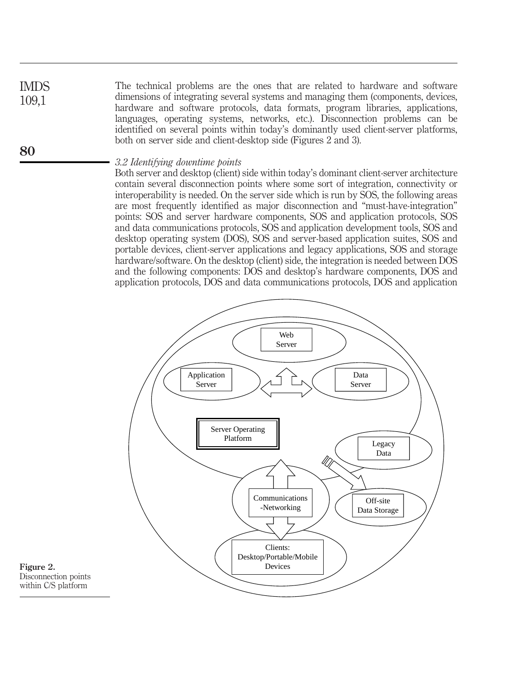The technical problems are the ones that are related to hardware and software dimensions of integrating several systems and managing them (components, devices, hardware and software protocols, data formats, program libraries, applications, languages, operating systems, networks, etc.). Disconnection problems can be identified on several points within today's dominantly used client-server platforms, both on server side and client-desktop side (Figures 2 and 3).

#### 3.2 Identifying downtime points

Both server and desktop (client) side within today's dominant client-server architecture contain several disconnection points where some sort of integration, connectivity or interoperability is needed. On the server side which is run by SOS, the following areas are most frequently identified as major disconnection and "must-have-integration" points: SOS and server hardware components, SOS and application protocols, SOS and data communications protocols, SOS and application development tools, SOS and desktop operating system (DOS), SOS and server-based application suites, SOS and portable devices, client-server applications and legacy applications, SOS and storage hardware/software. On the desktop (client) side, the integration is needed between DOS and the following components: DOS and desktop's hardware components, DOS and application protocols, DOS and data communications protocols, DOS and application



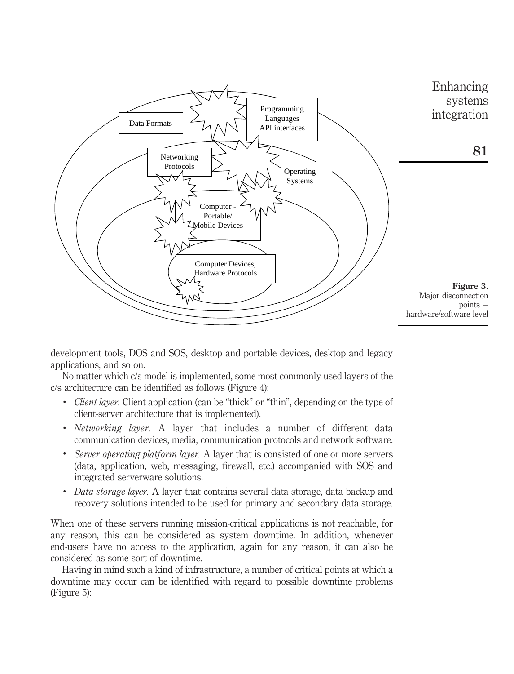

development tools, DOS and SOS, desktop and portable devices, desktop and legacy applications, and so on.

No matter which c/s model is implemented, some most commonly used layers of the c/s architecture can be identified as follows (Figure 4):

- . Client layer. Client application (can be "thick" or "thin", depending on the type of client-server architecture that is implemented).
- *Networking layer*. A layer that includes a number of different data communication devices, media, communication protocols and network software.
- . Server operating platform layer. A layer that is consisted of one or more servers (data, application, web, messaging, firewall, etc.) accompanied with SOS and integrated serverware solutions.
- Data storage layer. A layer that contains several data storage, data backup and recovery solutions intended to be used for primary and secondary data storage.

When one of these servers running mission-critical applications is not reachable, for any reason, this can be considered as system downtime. In addition, whenever end-users have no access to the application, again for any reason, it can also be considered as some sort of downtime.

Having in mind such a kind of infrastructure, a number of critical points at which a downtime may occur can be identified with regard to possible downtime problems (Figure 5):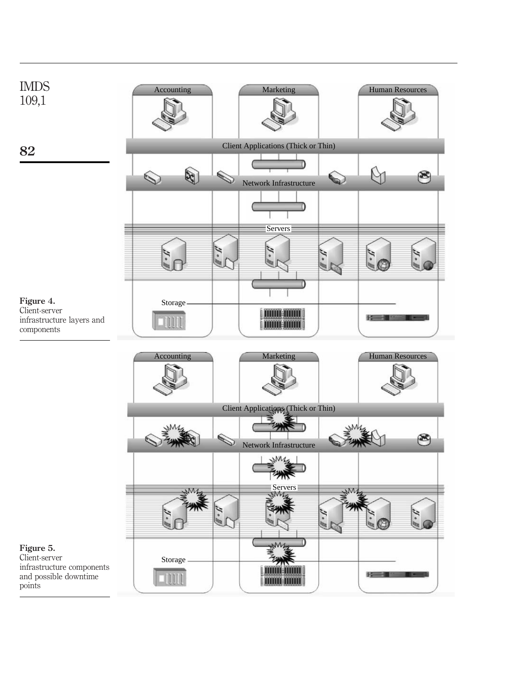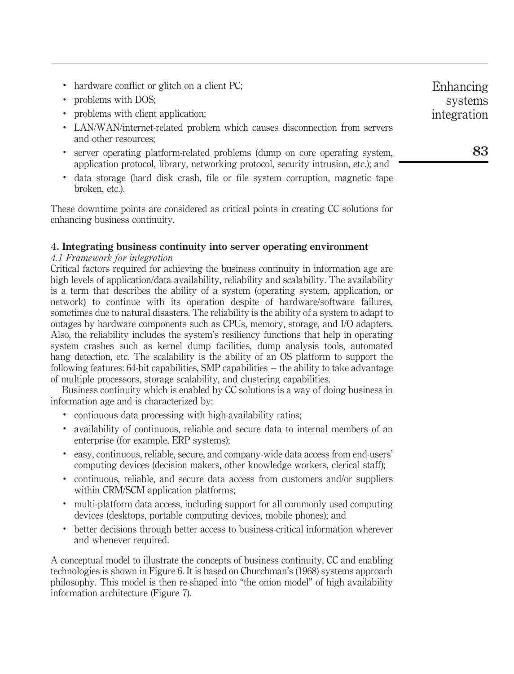- . hardware conflict or glitch on a client PC;
- . problems with DOS;
- . problems with client application;
- . LAN/WAN/internet-related problem which causes disconnection from servers and other resources;
- . server operating platform-related problems (dump on core operating system, application protocol, library, networking protocol, security intrusion, etc.); and
- . data storage (hard disk crash, file or file system corruption, magnetic tape broken, etc.).

These downtime points are considered as critical points in creating CC solutions for enhancing business continuity.

#### 4. Integrating business continuity into server operating environment

#### 4.1 Framework for integration

Critical factors required for achieving the business continuity in information age are high levels of application/data availability, reliability and scalability. The availability is a term that describes the ability of a system (operating system, application, or network) to continue with its operation despite of hardware/software failures, sometimes due to natural disasters. The reliability is the ability of a system to adapt to outages by hardware components such as CPUs, memory, storage, and I/O adapters. Also, the reliability includes the system's resiliency functions that help in operating system crashes such as kernel dump facilities, dump analysis tools, automated hang detection, etc. The scalability is the ability of an OS platform to support the following features: 64-bit capabilities, SMP capabilities – the ability to take advantage of multiple processors, storage scalability, and clustering capabilities.

Business continuity which is enabled by CC solutions is a way of doing business in information age and is characterized by:

- . continuous data processing with high-availability ratios;
- . availability of continuous, reliable and secure data to internal members of an enterprise (for example, ERP systems);
- . easy, continuous, reliable, secure, and company-wide data access from end-users' computing devices (decision makers, other knowledge workers, clerical staff);
- . continuous, reliable, and secure data access from customers and/or suppliers within CRM/SCM application platforms;
- . multi-platform data access, including support for all commonly used computing devices (desktops, portable computing devices, mobile phones); and
- . better decisions through better access to business-critical information wherever and whenever required.

A conceptual model to illustrate the concepts of business continuity, CC and enabling technologies is shown in Figure 6. It is based on Churchman's (1968) systems approach philosophy. This model is then re-shaped into "the onion model" of high availability information architecture (Figure 7).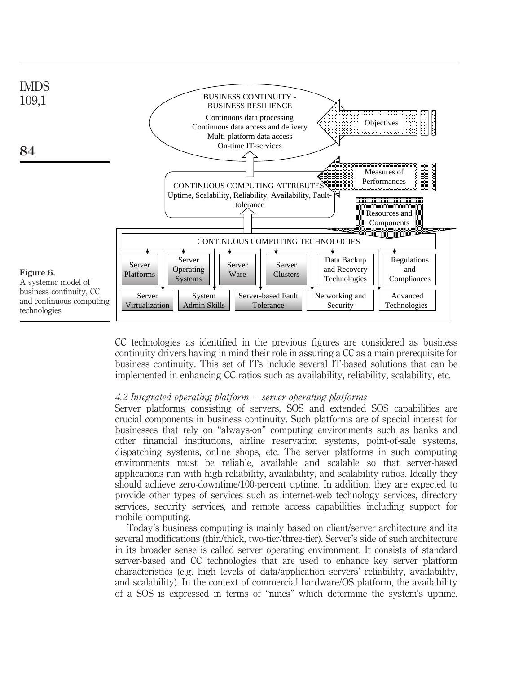

CC technologies as identified in the previous figures are considered as business continuity drivers having in mind their role in assuring a CC as a main prerequisite for business continuity. This set of ITs include several IT-based solutions that can be implemented in enhancing CC ratios such as availability, reliability, scalability, etc.

#### 4.2 Integrated operating platform – server operating platforms

Server platforms consisting of servers, SOS and extended SOS capabilities are crucial components in business continuity. Such platforms are of special interest for businesses that rely on "always-on" computing environments such as banks and other financial institutions, airline reservation systems, point-of-sale systems, dispatching systems, online shops, etc. The server platforms in such computing environments must be reliable, available and scalable so that server-based applications run with high reliability, availability, and scalability ratios. Ideally they should achieve zero-downtime/100-percent uptime. In addition, they are expected to provide other types of services such as internet-web technology services, directory services, security services, and remote access capabilities including support for mobile computing.

Today's business computing is mainly based on client/server architecture and its several modifications (thin/thick, two-tier/three-tier). Server's side of such architecture in its broader sense is called server operating environment. It consists of standard server-based and CC technologies that are used to enhance key server platform characteristics (e.g. high levels of data/application servers' reliability, availability, and scalability). In the context of commercial hardware/OS platform, the availability of a SOS is expressed in terms of "nines" which determine the system's uptime.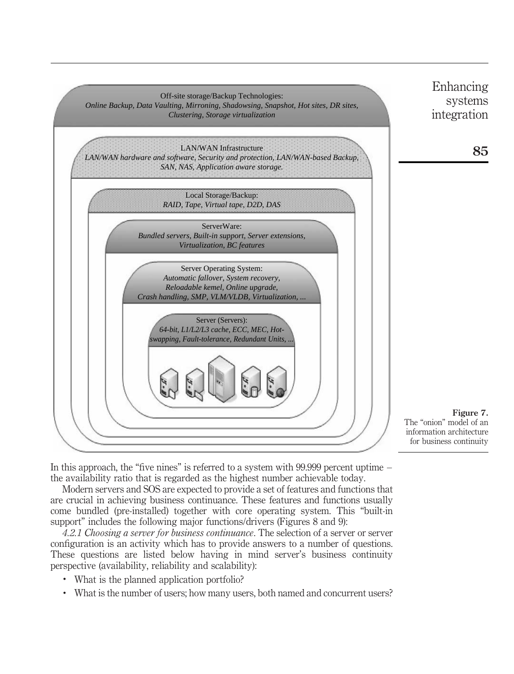

In this approach, the "five nines" is referred to a system with 99.999 percent uptime – the availability ratio that is regarded as the highest number achievable today.

Modern servers and SOS are expected to provide a set of features and functions that are crucial in achieving business continuance. These features and functions usually come bundled (pre-installed) together with core operating system. This "built-in support" includes the following major functions/drivers (Figures 8 and 9):

4.2.1 Choosing a server for business continuance. The selection of a server or server configuration is an activity which has to provide answers to a number of questions. These questions are listed below having in mind server's business continuity perspective (availability, reliability and scalability):

- . What is the planned application portfolio?
- . What is the number of users; how many users, both named and concurrent users?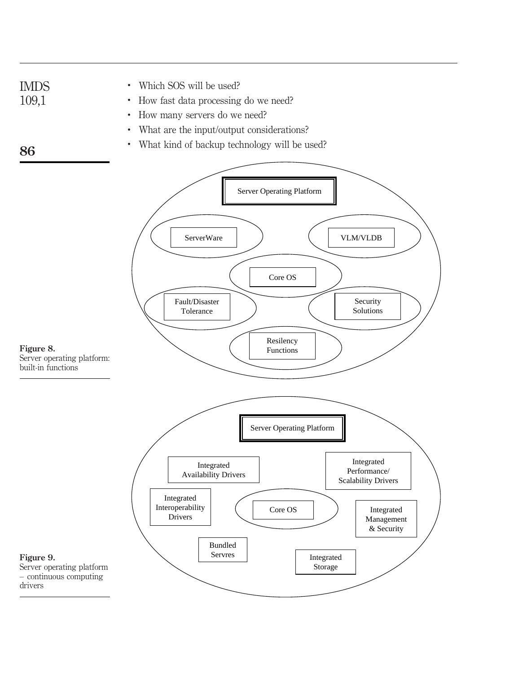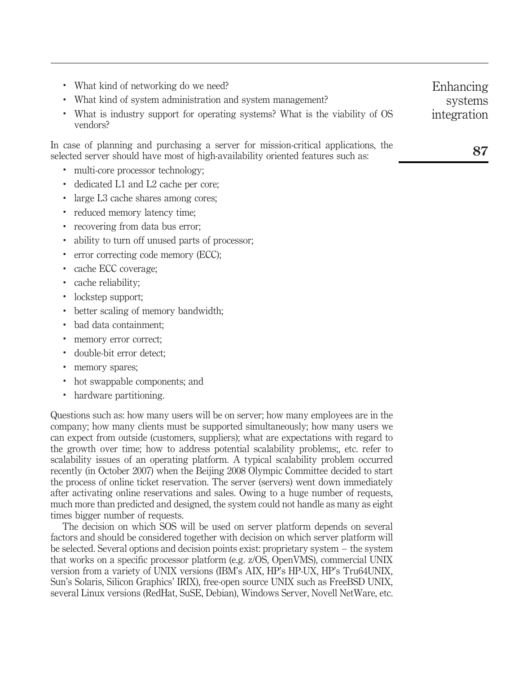| • What kind of networking do we need?<br>What kind of system administration and system management?<br>$\bullet$<br>• What is industry support for operating systems? What is the viability of OS<br>vendors? | Enhancing<br>systems<br>integration |
|--------------------------------------------------------------------------------------------------------------------------------------------------------------------------------------------------------------|-------------------------------------|
| In case of planning and purchasing a server for mission-critical applications, the<br>selected server should have most of high-availability oriented features such as:                                       | 87                                  |
| multi-core processor technology;<br>• dedicated L1 and L2 cache per core;                                                                                                                                    |                                     |

- . large L3 cache shares among cores;
- . reduced memory latency time;
- . recovering from data bus error;
- . ability to turn off unused parts of processor;
- . error correcting code memory (ECC);
- . cache ECC coverage;
- . cache reliability;
- . lockstep support;
- . better scaling of memory bandwidth;
- . bad data containment;
- . memory error correct;
- . double-bit error detect;
- . memory spares;
- . hot swappable components; and
- . hardware partitioning.

Questions such as: how many users will be on server; how many employees are in the company; how many clients must be supported simultaneously; how many users we can expect from outside (customers, suppliers); what are expectations with regard to the growth over time; how to address potential scalability problems;, etc. refer to scalability issues of an operating platform. A typical scalability problem occurred recently (in October 2007) when the Beijing 2008 Olympic Committee decided to start the process of online ticket reservation. The server (servers) went down immediately after activating online reservations and sales. Owing to a huge number of requests, much more than predicted and designed, the system could not handle as many as eight times bigger number of requests.

The decision on which SOS will be used on server platform depends on several factors and should be considered together with decision on which server platform will be selected. Several options and decision points exist: proprietary system – the system that works on a specific processor platform (e.g. z/OS, OpenVMS), commercial UNIX version from a variety of UNIX versions (IBM's AIX, HP's HP-UX, HP's Tru64UNIX, Sun's Solaris, Silicon Graphics' IRIX), free-open source UNIX such as FreeBSD UNIX, several Linux versions (RedHat, SuSE, Debian), Windows Server, Novell NetWare, etc.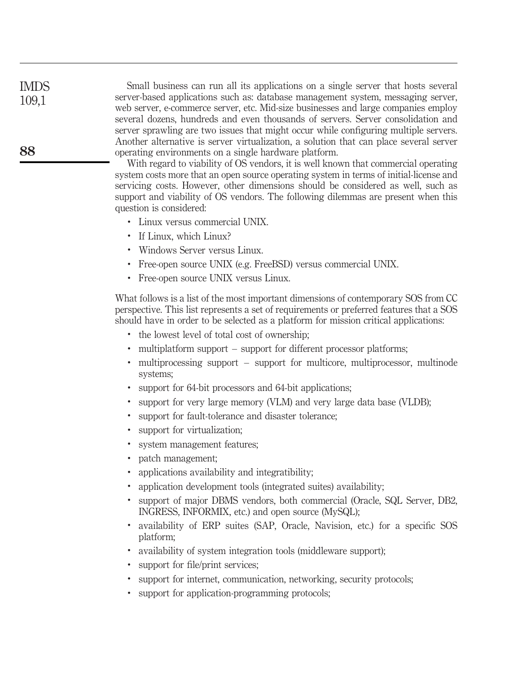Small business can run all its applications on a single server that hosts several server-based applications such as: database management system, messaging server, web server, e-commerce server, etc. Mid-size businesses and large companies employ several dozens, hundreds and even thousands of servers. Server consolidation and server sprawling are two issues that might occur while configuring multiple servers. Another alternative is server virtualization, a solution that can place several server operating environments on a single hardware platform.

With regard to viability of OS vendors, it is well known that commercial operating system costs more that an open source operating system in terms of initial-license and servicing costs. However, other dimensions should be considered as well, such as support and viability of OS vendors. The following dilemmas are present when this question is considered:

- . Linux versus commercial UNIX.
- . If Linux, which Linux?
- . Windows Server versus Linux.
- . Free-open source UNIX (e.g. FreeBSD) versus commercial UNIX.
- . Free-open source UNIX versus Linux.

What follows is a list of the most important dimensions of contemporary SOS from CC perspective. This list represents a set of requirements or preferred features that a SOS should have in order to be selected as a platform for mission critical applications:

- . the lowest level of total cost of ownership;
- . multiplatform support support for different processor platforms;
- . multiprocessing support support for multicore, multiprocessor, multinode systems;
- . support for 64-bit processors and 64-bit applications;
- support for very large memory (VLM) and very large data base (VLDB);
- . support for fault-tolerance and disaster tolerance;
- . support for virtualization;
- . system management features;
- . patch management;
- . applications availability and integratibility;
- . application development tools (integrated suites) availability;
- . support of major DBMS vendors, both commercial (Oracle, SQL Server, DB2, INGRESS, INFORMIX, etc.) and open source (MySQL);
- . availability of ERP suites (SAP, Oracle, Navision, etc.) for a specific SOS platform;
- . availability of system integration tools (middleware support);
- . support for file/print services;
- . support for internet, communication, networking, security protocols;
- . support for application-programming protocols;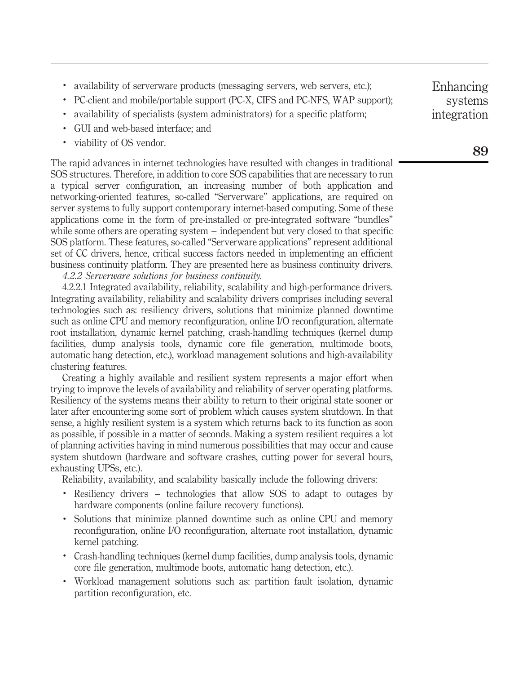- . availability of serverware products (messaging servers, web servers, etc.);
- . PC-client and mobile/portable support (PC-X, CIFS and PC-NFS, WAP support);
- . availability of specialists (system administrators) for a specific platform;
- . GUI and web-based interface; and
- . viability of OS vendor.

The rapid advances in internet technologies have resulted with changes in traditional SOS structures. Therefore, in addition to core SOS capabilities that are necessary to run a typical server configuration, an increasing number of both application and networking-oriented features, so-called "Serverware" applications, are required on server systems to fully support contemporary internet-based computing. Some of these applications come in the form of pre-installed or pre-integrated software "bundles" while some others are operating system – independent but very closed to that specific SOS platform. These features, so-called "Serverware applications" represent additional set of CC drivers, hence, critical success factors needed in implementing an efficient business continuity platform. They are presented here as business continuity drivers.

4.2.2 Serverware solutions for business continuity.

4.2.2.1 Integrated availability, reliability, scalability and high-performance drivers. Integrating availability, reliability and scalability drivers comprises including several technologies such as: resiliency drivers, solutions that minimize planned downtime such as online CPU and memory reconfiguration, online I/O reconfiguration, alternate root installation, dynamic kernel patching, crash-handling techniques (kernel dump facilities, dump analysis tools, dynamic core file generation, multimode boots, automatic hang detection, etc.), workload management solutions and high-availability clustering features.

Creating a highly available and resilient system represents a major effort when trying to improve the levels of availability and reliability of server operating platforms. Resiliency of the systems means their ability to return to their original state sooner or later after encountering some sort of problem which causes system shutdown. In that sense, a highly resilient system is a system which returns back to its function as soon as possible, if possible in a matter of seconds. Making a system resilient requires a lot of planning activities having in mind numerous possibilities that may occur and cause system shutdown (hardware and software crashes, cutting power for several hours, exhausting UPSs, etc.).

Reliability, availability, and scalability basically include the following drivers:

- . Resiliency drivers technologies that allow SOS to adapt to outages by hardware components (online failure recovery functions).
- . Solutions that minimize planned downtime such as online CPU and memory reconfiguration, online I/O reconfiguration, alternate root installation, dynamic kernel patching.
- . Crash-handling techniques (kernel dump facilities, dump analysis tools, dynamic core file generation, multimode boots, automatic hang detection, etc.).
- . Workload management solutions such as: partition fault isolation, dynamic partition reconfiguration, etc.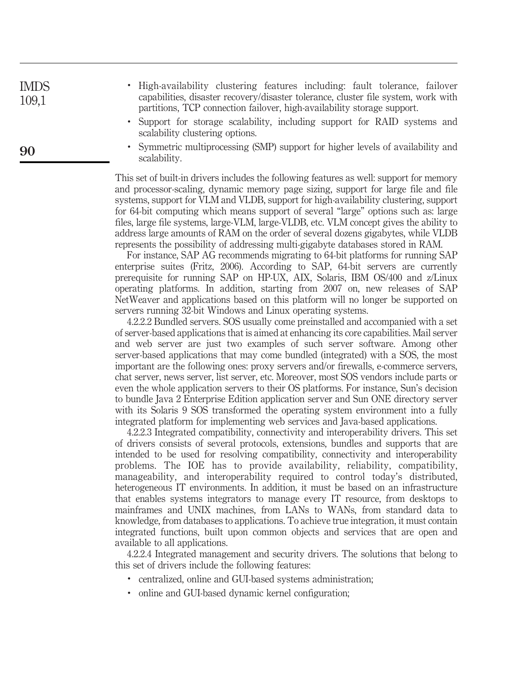| <b>IMDS</b><br>109,1 | • High-availability clustering features including: fault tolerance, failover<br>capabilities, disaster recovery/disaster tolerance, cluster file system, work with<br>partitions, TCP connection failover, high-availability storage support. |
|----------------------|-----------------------------------------------------------------------------------------------------------------------------------------------------------------------------------------------------------------------------------------------|
|                      | • Support for storage scalability, including support for RAID systems and<br>scalability clustering options.                                                                                                                                  |
| 90                   | • Symmetric multiprocessing (SMP) support for higher levels of availability and<br>scalability.                                                                                                                                               |
|                      |                                                                                                                                                                                                                                               |

This set of built-in drivers includes the following features as well: support for memory and processor-scaling, dynamic memory page sizing, support for large file and file systems, support for VLM and VLDB, support for high-availability clustering, support for 64-bit computing which means support of several "large" options such as: large files, large file systems, large-VLM, large-VLDB, etc. VLM concept gives the ability to address large amounts of RAM on the order of several dozens gigabytes, while VLDB represents the possibility of addressing multi-gigabyte databases stored in RAM.

For instance, SAP AG recommends migrating to 64-bit platforms for running SAP enterprise suites (Fritz, 2006). According to SAP, 64-bit servers are currently prerequisite for running SAP on HP-UX, AIX, Solaris, IBM OS/400 and z/Linux operating platforms. In addition, starting from 2007 on, new releases of SAP NetWeaver and applications based on this platform will no longer be supported on servers running 32-bit Windows and Linux operating systems.

4.2.2.2 Bundled servers. SOS usually come preinstalled and accompanied with a set of server-based applications that is aimed at enhancing its core capabilities. Mail server and web server are just two examples of such server software. Among other server-based applications that may come bundled (integrated) with a SOS, the most important are the following ones: proxy servers and/or firewalls, e-commerce servers, chat server, news server, list server, etc. Moreover, most SOS vendors include parts or even the whole application servers to their OS platforms. For instance, Sun's decision to bundle Java 2 Enterprise Edition application server and Sun ONE directory server with its Solaris 9 SOS transformed the operating system environment into a fully integrated platform for implementing web services and Java-based applications.

4.2.2.3 Integrated compatibility, connectivity and interoperability drivers. This set of drivers consists of several protocols, extensions, bundles and supports that are intended to be used for resolving compatibility, connectivity and interoperability problems. The IOE has to provide availability, reliability, compatibility, manageability, and interoperability required to control today's distributed, heterogeneous IT environments. In addition, it must be based on an infrastructure that enables systems integrators to manage every IT resource, from desktops to mainframes and UNIX machines, from LANs to WANs, from standard data to knowledge, from databases to applications. To achieve true integration, it must contain integrated functions, built upon common objects and services that are open and available to all applications.

4.2.2.4 Integrated management and security drivers. The solutions that belong to this set of drivers include the following features:

- . centralized, online and GUI-based systems administration;
- . online and GUI-based dynamic kernel configuration;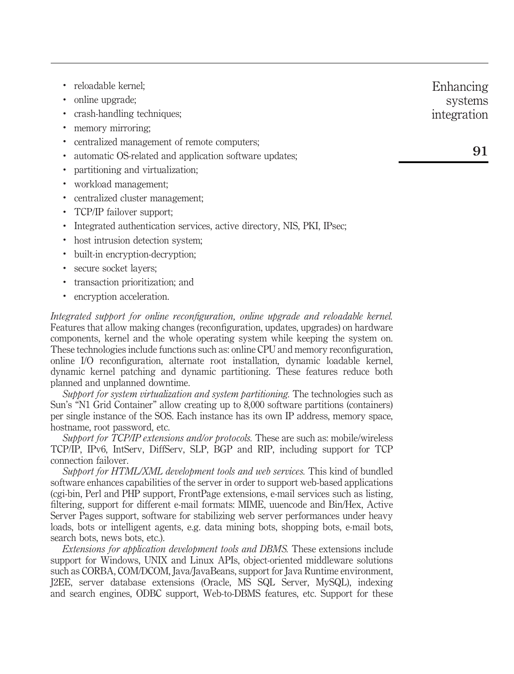- . reloadable kernel;
- . online upgrade;
- . crash-handling techniques;
- . memory mirroring;
- . centralized management of remote computers;
- . automatic OS-related and application software updates;
- . partitioning and virtualization;
- . workload management;
- . centralized cluster management;
- . TCP/IP failover support;
- . Integrated authentication services, active directory, NIS, PKI, IPsec;
- . host intrusion detection system;
- . built-in encryption-decryption;
- . secure socket layers;
- . transaction prioritization; and
- . encryption acceleration.

Integrated support for online reconfiguration, online upgrade and reloadable kernel. Features that allow making changes (reconfiguration, updates, upgrades) on hardware components, kernel and the whole operating system while keeping the system on. These technologies include functions such as: online CPU and memory reconfiguration, online I/O reconfiguration, alternate root installation, dynamic loadable kernel, dynamic kernel patching and dynamic partitioning. These features reduce both planned and unplanned downtime.

Support for system virtualization and system partitioning. The technologies such as Sun's "N1 Grid Container" allow creating up to 8,000 software partitions (containers) per single instance of the SOS. Each instance has its own IP address, memory space, hostname, root password, etc.

Support for TCP/IP extensions and/or protocols. These are such as: mobile/wireless TCP/IP, IPv6, IntServ, DiffServ, SLP, BGP and RIP, including support for TCP connection failover.

Support for HTML/XML development tools and web services. This kind of bundled software enhances capabilities of the server in order to support web-based applications (cgi-bin, Perl and PHP support, FrontPage extensions, e-mail services such as listing, filtering, support for different e-mail formats: MIME, uuencode and Bin/Hex, Active Server Pages support, software for stabilizing web server performances under heavy loads, bots or intelligent agents, e.g. data mining bots, shopping bots, e-mail bots, search bots, news bots, etc.).

Extensions for application development tools and DBMS. These extensions include support for Windows, UNIX and Linux APIs, object-oriented middleware solutions such as CORBA, COM/DCOM, Java/JavaBeans, support for Java Runtime environment, J2EE, server database extensions (Oracle, MS SQL Server, MySQL), indexing and search engines, ODBC support, Web-to-DBMS features, etc. Support for these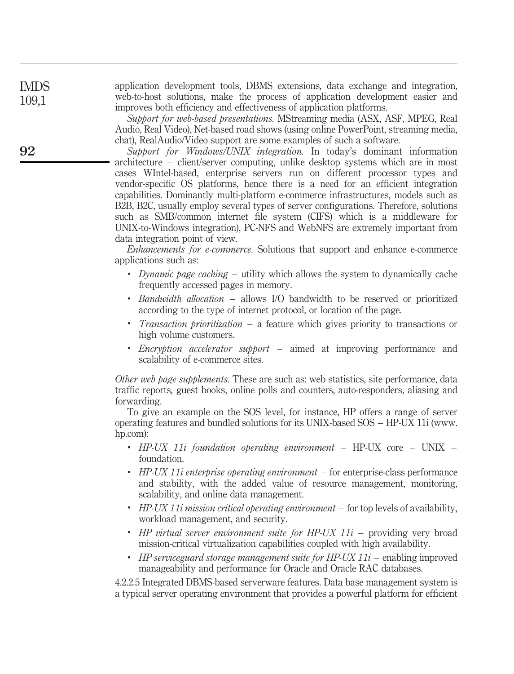application development tools, DBMS extensions, data exchange and integration, web-to-host solutions, make the process of application development easier and improves both efficiency and effectiveness of application platforms.

Support for web-based presentations. MStreaming media (ASX, ASF, MPEG, Real Audio, Real Video), Net-based road shows (using online PowerPoint, streaming media, chat), RealAudio/Video support are some examples of such a software.

Support for Windows/UNIX integration. In today's dominant information architecture – client/server computing, unlike desktop systems which are in most cases WIntel-based, enterprise servers run on different processor types and vendor-specific OS platforms, hence there is a need for an efficient integration capabilities. Dominantly multi-platform e-commerce infrastructures, models such as B2B, B2C, usually employ several types of server configurations. Therefore, solutions such as SMB/common internet file system (CIFS) which is a middleware for UNIX-to-Windows integration), PC-NFS and WebNFS are extremely important from data integration point of view.

Enhancements for e-commerce. Solutions that support and enhance e-commerce applications such as:

- *Dynamic page caching* utility which allows the system to dynamically cache frequently accessed pages in memory.
- . Bandwidth allocation allows I/O bandwidth to be reserved or prioritized according to the type of internet protocol, or location of the page.
- . Transaction prioritization a feature which gives priority to transactions or high volume customers.
- . Encryption accelerator support aimed at improving performance and scalability of e-commerce sites.

Other web page supplements. These are such as: web statistics, site performance, data traffic reports, guest books, online polls and counters, auto-responders, aliasing and forwarding.

To give an example on the SOS level, for instance, HP offers a range of server operating features and bundled solutions for its UNIX-based SOS – HP-UX 11i (www. hp.com):

- . HP-UX 11i foundation operating environment HP-UX core UNIX foundation.
- $\cdot$  HP-UX 11*i* enterprise operating environment for enterprise-class performance and stability, with the added value of resource management, monitoring, scalability, and online data management.
- $\cdot$  HP-UX 11*i* mission critical operating environment for top levels of availability, workload management, and security.
- HP virtual server environment suite for HP-UX  $11i$  providing very broad mission-critical virtualization capabilities coupled with high availability.
- HP serviceguard storage management suite for HP-UX  $11i$  enabling improved manageability and performance for Oracle and Oracle RAC databases.

4.2.2.5 Integrated DBMS-based serverware features. Data base management system is a typical server operating environment that provides a powerful platform for efficient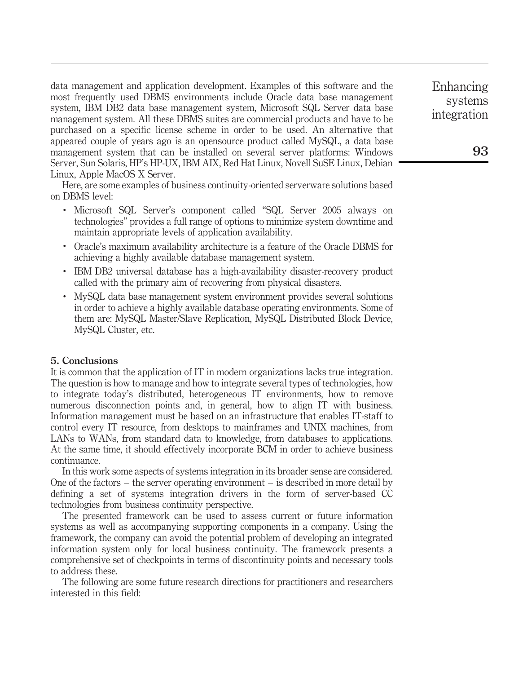data management and application development. Examples of this software and the most frequently used DBMS environments include Oracle data base management system, IBM DB2 data base management system, Microsoft SQL Server data base management system. All these DBMS suites are commercial products and have to be purchased on a specific license scheme in order to be used. An alternative that appeared couple of years ago is an opensource product called MySQL, a data base management system that can be installed on several server platforms: Windows Server, Sun Solaris, HP's HP-UX, IBM AIX, Red Hat Linux, Novell SuSE Linux, Debian Linux, Apple MacOS X Server.

Here, are some examples of business continuity-oriented serverware solutions based on DBMS level:

- . Microsoft SQL Server's component called "SQL Server 2005 always on technologies" provides a full range of options to minimize system downtime and maintain appropriate levels of application availability.
- . Oracle's maximum availability architecture is a feature of the Oracle DBMS for achieving a highly available database management system.
- . IBM DB2 universal database has a high-availability disaster-recovery product called with the primary aim of recovering from physical disasters.
- . MySQL data base management system environment provides several solutions in order to achieve a highly available database operating environments. Some of them are: MySQL Master/Slave Replication, MySQL Distributed Block Device, MySQL Cluster, etc.

#### 5. Conclusions

It is common that the application of IT in modern organizations lacks true integration. The question is how to manage and how to integrate several types of technologies, how to integrate today's distributed, heterogeneous IT environments, how to remove numerous disconnection points and, in general, how to align IT with business. Information management must be based on an infrastructure that enables IT-staff to control every IT resource, from desktops to mainframes and UNIX machines, from LANs to WANs, from standard data to knowledge, from databases to applications. At the same time, it should effectively incorporate BCM in order to achieve business continuance.

In this work some aspects of systems integration in its broader sense are considered. One of the factors  $-$  the server operating environment  $-$  is described in more detail by defining a set of systems integration drivers in the form of server-based CC technologies from business continuity perspective.

The presented framework can be used to assess current or future information systems as well as accompanying supporting components in a company. Using the framework, the company can avoid the potential problem of developing an integrated information system only for local business continuity. The framework presents a comprehensive set of checkpoints in terms of discontinuity points and necessary tools to address these.

The following are some future research directions for practitioners and researchers interested in this field: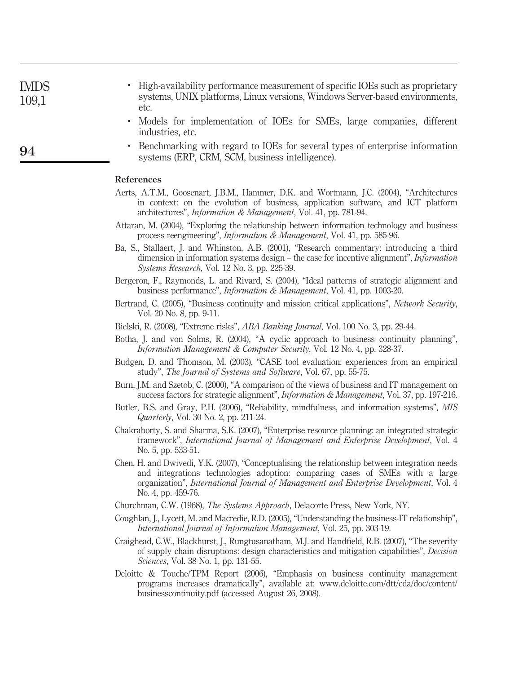| <b>IMDS</b><br>109,1 | • High-availability performance measurement of specific IOEs such as proprietary<br>systems, UNIX platforms, Linux versions, Windows Server-based environments,<br>etc. |
|----------------------|-------------------------------------------------------------------------------------------------------------------------------------------------------------------------|
|                      | • Models for implementation of IOEs for SMEs, large companies, different<br>industries, etc.                                                                            |
| 94                   | • Benchmarking with regard to IOEs for several types of enterprise information<br>systems (ERP, CRM, SCM, business intelligence).                                       |

#### References

- Aerts, A.T.M., Goosenart, J.B.M., Hammer, D.K. and Wortmann, J.C. (2004), "Architectures in context: on the evolution of business, application software, and ICT platform architectures", Information & Management, Vol. 41, pp. 781-94.
- Attaran, M. (2004), "Exploring the relationship between information technology and business process reengineering", Information & Management, Vol. 41, pp. 585-96.
- Ba, S., Stallaert, J. and Whinston, A.B. (2001), "Research commentary: introducing a third dimension in information systems design – the case for incentive alignment", Information Systems Research, Vol. 12 No. 3, pp. 225-39.
- Bergeron, F., Raymonds, L. and Rivard, S. (2004), "Ideal patterns of strategic alignment and business performance", Information & Management, Vol. 41, pp. 1003-20.
- Bertrand, C. (2005), "Business continuity and mission critical applications", *Network Security*, Vol. 20 No. 8, pp. 9-11.
- Bielski, R. (2008), "Extreme risks", ABA Banking Journal, Vol. 100 No. 3, pp. 29-44.
- Botha, J. and von Solms, R. (2004), "A cyclic approach to business continuity planning", Information Management & Computer Security, Vol. 12 No. 4, pp. 328-37.
- Budgen, D. and Thomson, M. (2003), "CASE tool evaluation: experiences from an empirical study", The Journal of Systems and Software, Vol. 67, pp. 55-75.
- Burn, J.M. and Szetob, C. (2000), "A comparison of the views of business and IT management on success factors for strategic alignment", Information & Management, Vol. 37, pp. 197-216.
- Butler, B.S. and Gray, P.H. (2006), "Reliability, mindfulness, and information systems", MIS Quarterly, Vol. 30 No. 2, pp. 211-24.
- Chakraborty, S. and Sharma, S.K. (2007), "Enterprise resource planning: an integrated strategic framework", International Journal of Management and Enterprise Development, Vol. 4 No. 5, pp. 533-51.
- Chen, H. and Dwivedi, Y.K. (2007), "Conceptualising the relationship between integration needs and integrations technologies adoption: comparing cases of SMEs with a large organization", International Journal of Management and Enterprise Development, Vol. 4 No. 4, pp. 459-76.
- Churchman, C.W. (1968), The Systems Approach, Delacorte Press, New York, NY.
- Coughlan, J., Lycett, M. and Macredie, R.D. (2005), "Understanding the business-IT relationship", International Journal of Information Management, Vol. 25, pp. 303-19.
- Craighead, C.W., Blackhurst, J., Rungtusanatham, M.J. and Handfield, R.B. (2007), "The severity of supply chain disruptions: design characteristics and mitigation capabilities", Decision Sciences, Vol. 38 No. 1, pp. 131-55.
- Deloitte & Touche/TPM Report (2006), "Emphasis on business continuity management programs increases dramatically", available at: www.deloitte.com/dtt/cda/doc/content/ businesscontinuity.pdf (accessed August 26, 2008).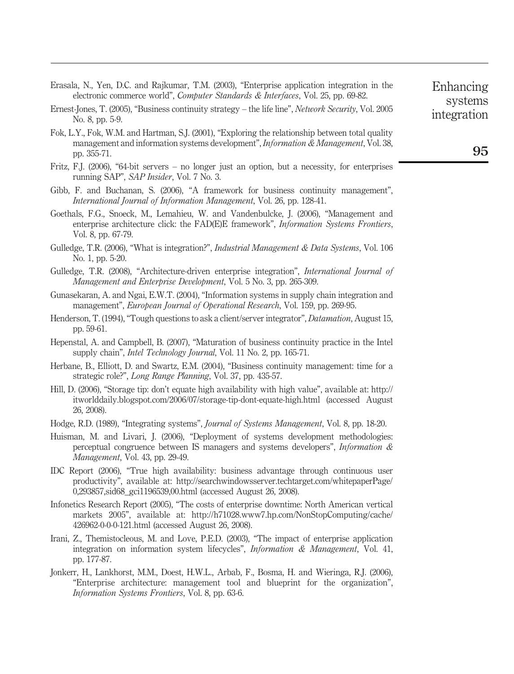Erasala, N., Yen, D.C. and Rajkumar, T.M. (2003), "Enterprise application integration in the electronic commerce world", Computer Standards & Interfaces, Vol. 25, pp. 69-82.

- Ernest-Jones, T. (2005), "Business continuity strategy the life line", Network Security, Vol. 2005 No. 8, pp. 5-9.
- Fok, L.Y., Fok, W.M. and Hartman, S.J. (2001), "Exploring the relationship between total quality management and information systems development", *Information & Management*, Vol. 38, pp. 355-71.
- Fritz, F.J. (2006), "64-bit servers no longer just an option, but a necessity, for enterprises running SAP", SAP Insider, Vol. 7 No. 3.
- Gibb, F. and Buchanan, S. (2006), "A framework for business continuity management", International Journal of Information Management, Vol. 26, pp. 128-41.
- Goethals, F.G., Snoeck, M., Lemahieu, W. and Vandenbulcke, J. (2006), "Management and enterprise architecture click: the FAD(E)E framework", Information Systems Frontiers, Vol. 8, pp. 67-79.
- Gulledge, T.R. (2006), "What is integration?", Industrial Management & Data Systems, Vol. 106 No. 1, pp. 5-20.
- Gulledge, T.R. (2008), "Architecture-driven enterprise integration", International Journal of Management and Enterprise Development, Vol. 5 No. 3, pp. 265-309.
- Gunasekaran, A. and Ngai, E.W.T. (2004), "Information systems in supply chain integration and management", *European Journal of Operational Research*, Vol. 159, pp. 269-95.
- Henderson, T. (1994), "Tough questions to ask a client/server integrator", Datamation, August 15, pp. 59-61.
- Hepenstal, A. and Campbell, B. (2007), "Maturation of business continuity practice in the Intel supply chain", *Intel Technology Journal*, Vol. 11 No. 2, pp. 165-71.
- Herbane, B., Elliott, D. and Swartz, E.M. (2004), "Business continuity management: time for a strategic role?", Long Range Planning, Vol. 37, pp. 435-57.
- Hill, D. (2006), "Storage tip: don't equate high availability with high value", available at: http:// itworlddaily.blogspot.com/2006/07/storage-tip-dont-equate-high.html (accessed August 26, 2008).
- Hodge, R.D. (1989), "Integrating systems", Journal of Systems Management, Vol. 8, pp. 18-20.
- Huisman, M. and Livari, J. (2006), "Deployment of systems development methodologies: perceptual congruence between IS managers and systems developers", Information & Management, Vol. 43, pp. 29-49.
- IDC Report (2006), "True high availability: business advantage through continuous user productivity", available at: http://searchwindowsserver.techtarget.com/whitepaperPage/ 0,293857,sid68\_gci1196539,00.html (accessed August 26, 2008).
- Infonetics Research Report (2005), "The costs of enterprise downtime: North American vertical markets 2005", available at: http://h71028.www7.hp.com/NonStopComputing/cache/ 426962-0-0-0-121.html (accessed August 26, 2008).
- Irani, Z., Themistocleous, M. and Love, P.E.D. (2003), "The impact of enterprise application integration on information system lifecycles", Information & Management, Vol. 41, pp. 177-87.
- Jonkerr, H., Lankhorst, M.M., Doest, H.W.L., Arbab, F., Bosma, H. and Wieringa, R.J. (2006), "Enterprise architecture: management tool and blueprint for the organization", Information Systems Frontiers, Vol. 8, pp. 63-6.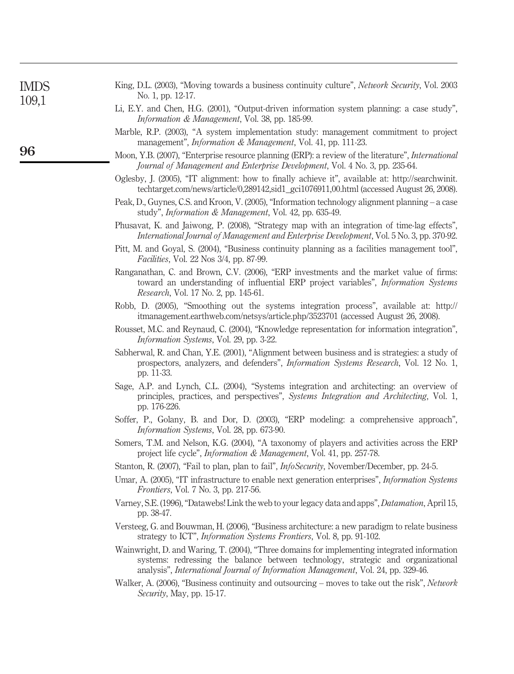| L<br>J I |
|----------|
|          |

96

- King, D.L. (2003), "Moving towards a business continuity culture", Network Security, Vol. 2003 No. 1, pp. 12-17.
- Li, E.Y. and Chen, H.G. (2001), "Output-driven information system planning: a case study", Information & Management, Vol. 38, pp. 185-99.
- Marble, R.P. (2003), "A system implementation study: management commitment to project management", *Information & Management*, Vol. 41, pp. 111-23.
- Moon, Y.B. (2007), "Enterprise resource planning (ERP): a review of the literature", International Journal of Management and Enterprise Development, Vol. 4 No. 3, pp. 235-64.
- Oglesby, J. (2005), "IT alignment: how to finally achieve it", available at: http://searchwinit. techtarget.com/news/article/0,289142,sid1\_gci1076911,00.html (accessed August 26, 2008).
- Peak, D., Guynes, C.S. and Kroon, V. (2005), "Information technology alignment planning a case study", Information & Management, Vol. 42, pp. 635-49.
- Phusavat, K. and Jaiwong, P. (2008), "Strategy map with an integration of time-lag effects", International Journal of Management and Enterprise Development, Vol. 5 No. 3, pp. 370-92.
- Pitt, M. and Goyal, S. (2004), "Business continuity planning as a facilities management tool", Facilities, Vol. 22 Nos 3/4, pp. 87-99.
- Ranganathan, C. and Brown, C.V. (2006), "ERP investments and the market value of firms: toward an understanding of influential ERP project variables", Information Systems Research, Vol. 17 No. 2, pp. 145-61.
- Robb, D. (2005), "Smoothing out the systems integration process", available at: http:// itmanagement.earthweb.com/netsys/article.php/3523701 (accessed August 26, 2008).
- Rousset, M.C. and Reynaud, C. (2004), "Knowledge representation for information integration", Information Systems, Vol. 29, pp. 3-22.
- Sabherwal, R. and Chan, Y.E. (2001), "Alignment between business and is strategies: a study of prospectors, analyzers, and defenders", Information Systems Research, Vol. 12 No. 1, pp. 11-33.
- Sage, A.P. and Lynch, C.L. (2004), "Systems integration and architecting: an overview of principles, practices, and perspectives", Systems Integration and Architecting, Vol. 1, pp. 176-226.
- Soffer, P., Golany, B. and Dor, D. (2003), "ERP modeling: a comprehensive approach", Information Systems, Vol. 28, pp. 673-90.
- Somers, T.M. and Nelson, K.G. (2004), "A taxonomy of players and activities across the ERP project life cycle", Information & Management, Vol. 41, pp. 257-78.
- Stanton, R. (2007), "Fail to plan, plan to fail", *InfoSecurity*, November/December, pp. 24-5.
- Umar, A. (2005), "IT infrastructure to enable next generation enterprises", *Information Systems* Frontiers, Vol. 7 No. 3, pp. 217-56.
- Varney, S.E. (1996), "Datawebs! Link the web to your legacy data and apps", Datamation, April 15, pp. 38-47.
- Versteeg, G. and Bouwman, H. (2006), "Business architecture: a new paradigm to relate business strategy to ICT", Information Systems Frontiers, Vol. 8, pp. 91-102.
- Wainwright, D. and Waring, T. (2004), "Three domains for implementing integrated information systems: redressing the balance between technology, strategic and organizational analysis", International Journal of Information Management, Vol. 24, pp. 329-46.
- Walker, A. (2006), "Business continuity and outsourcing moves to take out the risk", Network Security, May, pp. 15-17.